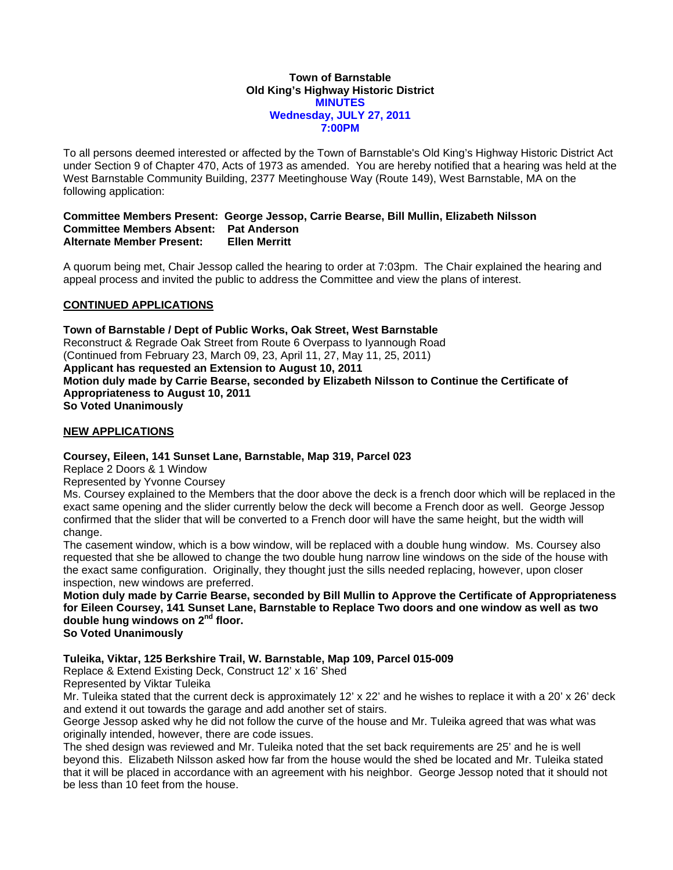### **Town of Barnstable Old King's Highway Historic District MINUTES Wednesday, JULY 27, 2011 7:00PM**

To all persons deemed interested or affected by the Town of Barnstable's Old King's Highway Historic District Act under Section 9 of Chapter 470, Acts of 1973 as amended. You are hereby notified that a hearing was held at the West Barnstable Community Building, 2377 Meetinghouse Way (Route 149), West Barnstable, MA on the following application:

## **Committee Members Present: George Jessop, Carrie Bearse, Bill Mullin, Elizabeth Nilsson Committee Members Absent: Pat Anderson <br>Alternate Member Present: Ellen Merritt Alternate Member Present:**

A quorum being met, Chair Jessop called the hearing to order at 7:03pm. The Chair explained the hearing and appeal process and invited the public to address the Committee and view the plans of interest.

# **CONTINUED APPLICATIONS**

**Town of Barnstable / Dept of Public Works, Oak Street, West Barnstable**  Reconstruct & Regrade Oak Street from Route 6 Overpass to Iyannough Road (Continued from February 23, March 09, 23, April 11, 27, May 11, 25, 2011) **Applicant has requested an Extension to August 10, 2011 Motion duly made by Carrie Bearse, seconded by Elizabeth Nilsson to Continue the Certificate of Appropriateness to August 10, 2011 So Voted Unanimously** 

# **NEW APPLICATIONS**

# **Coursey, Eileen, 141 Sunset Lane, Barnstable, Map 319, Parcel 023**

Replace 2 Doors & 1 Window

Represented by Yvonne Coursey

Ms. Coursey explained to the Members that the door above the deck is a french door which will be replaced in the exact same opening and the slider currently below the deck will become a French door as well. George Jessop confirmed that the slider that will be converted to a French door will have the same height, but the width will change.

The casement window, which is a bow window, will be replaced with a double hung window. Ms. Coursey also requested that she be allowed to change the two double hung narrow line windows on the side of the house with the exact same configuration. Originally, they thought just the sills needed replacing, however, upon closer inspection, new windows are preferred.

**Motion duly made by Carrie Bearse, seconded by Bill Mullin to Approve the Certificate of Appropriateness for Eileen Coursey, 141 Sunset Lane, Barnstable to Replace Two doors and one window as well as two double hung windows on 2nd floor. So Voted Unanimously** 

**Tuleika, Viktar, 125 Berkshire Trail, W. Barnstable, Map 109, Parcel 015-009** 

Replace & Extend Existing Deck, Construct 12' x 16' Shed

Represented by Viktar Tuleika

Mr. Tuleika stated that the current deck is approximately 12' x 22' and he wishes to replace it with a 20' x 26' deck and extend it out towards the garage and add another set of stairs.

George Jessop asked why he did not follow the curve of the house and Mr. Tuleika agreed that was what was originally intended, however, there are code issues.

The shed design was reviewed and Mr. Tuleika noted that the set back requirements are 25' and he is well beyond this. Elizabeth Nilsson asked how far from the house would the shed be located and Mr. Tuleika stated that it will be placed in accordance with an agreement with his neighbor. George Jessop noted that it should not be less than 10 feet from the house.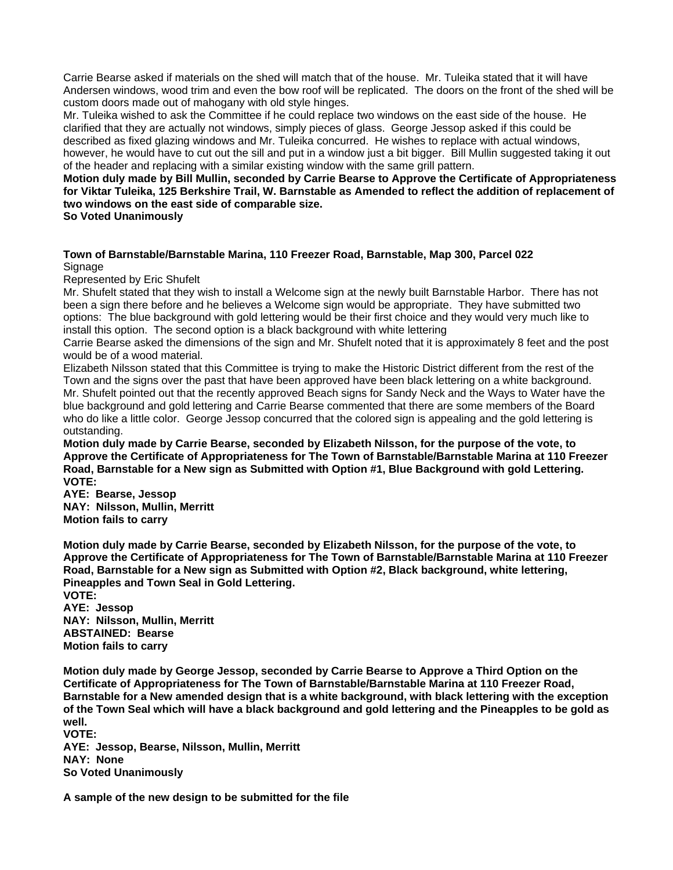Carrie Bearse asked if materials on the shed will match that of the house. Mr. Tuleika stated that it will have Andersen windows, wood trim and even the bow roof will be replicated. The doors on the front of the shed will be custom doors made out of mahogany with old style hinges.

Mr. Tuleika wished to ask the Committee if he could replace two windows on the east side of the house. He clarified that they are actually not windows, simply pieces of glass. George Jessop asked if this could be described as fixed glazing windows and Mr. Tuleika concurred. He wishes to replace with actual windows, however, he would have to cut out the sill and put in a window just a bit bigger. Bill Mullin suggested taking it out of the header and replacing with a similar existing window with the same grill pattern.

# **Motion duly made by Bill Mullin, seconded by Carrie Bearse to Approve the Certificate of Appropriateness for Viktar Tuleika, 125 Berkshire Trail, W. Barnstable as Amended to reflect the addition of replacement of two windows on the east side of comparable size.**

**So Voted Unanimously** 

## **Town of Barnstable/Barnstable Marina, 110 Freezer Road, Barnstable, Map 300, Parcel 022**  Signage

Represented by Eric Shufelt

Mr. Shufelt stated that they wish to install a Welcome sign at the newly built Barnstable Harbor. There has not been a sign there before and he believes a Welcome sign would be appropriate. They have submitted two options: The blue background with gold lettering would be their first choice and they would very much like to install this option. The second option is a black background with white lettering

Carrie Bearse asked the dimensions of the sign and Mr. Shufelt noted that it is approximately 8 feet and the post would be of a wood material.

Elizabeth Nilsson stated that this Committee is trying to make the Historic District different from the rest of the Town and the signs over the past that have been approved have been black lettering on a white background. Mr. Shufelt pointed out that the recently approved Beach signs for Sandy Neck and the Ways to Water have the blue background and gold lettering and Carrie Bearse commented that there are some members of the Board who do like a little color. George Jessop concurred that the colored sign is appealing and the gold lettering is outstanding.

**Motion duly made by Carrie Bearse, seconded by Elizabeth Nilsson, for the purpose of the vote, to Approve the Certificate of Appropriateness for The Town of Barnstable/Barnstable Marina at 110 Freezer Road, Barnstable for a New sign as Submitted with Option #1, Blue Background with gold Lettering. VOTE:** 

**AYE: Bearse, Jessop NAY: Nilsson, Mullin, Merritt Motion fails to carry** 

**Motion duly made by Carrie Bearse, seconded by Elizabeth Nilsson, for the purpose of the vote, to Approve the Certificate of Appropriateness for The Town of Barnstable/Barnstable Marina at 110 Freezer Road, Barnstable for a New sign as Submitted with Option #2, Black background, white lettering, Pineapples and Town Seal in Gold Lettering.** 

**VOTE: AYE: Jessop NAY: Nilsson, Mullin, Merritt ABSTAINED: Bearse Motion fails to carry** 

**Motion duly made by George Jessop, seconded by Carrie Bearse to Approve a Third Option on the Certificate of Appropriateness for The Town of Barnstable/Barnstable Marina at 110 Freezer Road, Barnstable for a New amended design that is a white background, with black lettering with the exception of the Town Seal which will have a black background and gold lettering and the Pineapples to be gold as well.** 

**VOTE: AYE: Jessop, Bearse, Nilsson, Mullin, Merritt NAY: None So Voted Unanimously** 

**A sample of the new design to be submitted for the file**